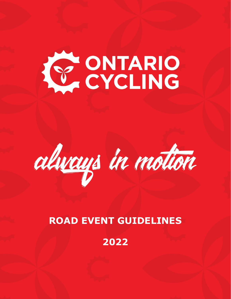# **CONTARIO**



## **ROAD EVENT GUIDELINES**

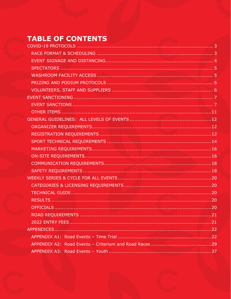# **TABLE OF CONTENTS**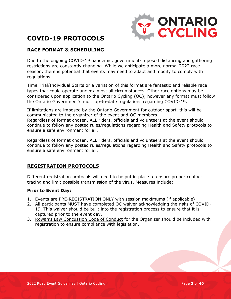

## <span id="page-2-0"></span>**COVID-19 PROTOCOLS**

#### <span id="page-2-1"></span>**RACE FORMAT & SCHEDULING**

Due to the ongoing COVID-19 pandemic, government-imposed distancing and gathering restrictions are constantly changing. While we anticipate a more normal 2022 race season, there is potential that events may need to adapt and modify to comply with regulations.

Time Trial/Individual Starts or a variation of this format are fantastic and reliable race types that could operate under almost all circumstances. Other race options may be considered upon application to the Ontario Cycling (OC); however any format must follow the Ontario Government's most up-to-date regulations regarding COVID-19.

If limitations are imposed by the Ontario Government for outdoor sport, this will be communicated to the organizer of the event and OC members. Regardless of format chosen, ALL riders, officials and volunteers at the event should continue to follow any posted rules/regulations regarding Health and Safety protocols to ensure a safe environment for all.

Regardless of format chosen, ALL riders, officials and volunteers at the event should continue to follow any posted rules/regulations regarding Health and Safety protocols to ensure a safe environment for all.

#### **REGISTRATION PROTOCOLS**

Different registration protocols will need to be put in place to ensure proper contact tracing and limit possible transmission of the virus. Measures include:

#### **Prior to Event Day:**

- 1. Events are PRE-REGISTRATION ONLY with session maximums (if applicable)
- 2. All participants MUST have completed OC waiver acknowledging the risks of COVID-19. This waiver should be built into the registration process to ensure that it is captured prior to the event day.
- 3. [Rowan's Law Concussion Code of Conduct](https://www.ontario.ca/page/rowans-law-concussion-safety#:~:text=Rowan) for the Organizer should be included with registration to ensure compliance with legislation.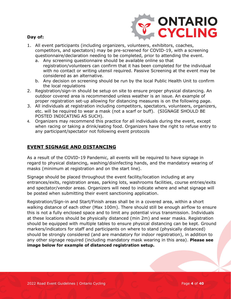

#### **Day of:**

- 1. All event participants (including organizers, volunteers, exhibitors, coaches, competitors, and spectators) may be pre-screened for COVID-19, with a screening questionnaire/declaration needing to be completed, prior to attending the event.
	- a. Any screening questionnaire should be available online so that registration/volunteers can confirm that it has been completed for the individual with no contact or writing utensil required. Passive Screening at the event may be considered as an alternative.
	- b. Any decision on screening should be run by the local Public Health Unit to confirm the local regulations
- 2. Registration/sign-in should be setup on site to ensure proper physical distancing. An outdoor covered area is recommended unless weather is an issue. An example of proper registration set-up allowing for distancing measures is on the following page.
- 3. All individuals at registration including competitors, spectators, volunteers, organizers, etc. will be required to wear a mask (not a scarf or buff). (SIGNAGE SHOULD BE POSTED INDICATING AS SUCH).
- 4. Organizers may recommend this practice for all individuals during the event, except when racing or taking a drink/eating food. Organizers have the right to refuse entry to any participant/spectator not following event protocols

#### <span id="page-3-0"></span>**EVENT SIGNAGE AND DISTANCING**

As a result of the COVID-19 Pandemic, all events will be required to have signage in regard to physical distancing, washing/disinfecting hands, and the mandatory wearing of masks (minimum at registration and on the start line).

Signage should be placed throughout the event facility/location including at any entrances/exits, registration areas, parking lots, washrooms facilities, course entries/exits and spectator/vendor areas. Organizers will need to indicate where and what signage will be posted when submitting their event sanctioning application.

Registration/Sign-in and Start/Finish areas shall be in a covered area, within a short walking distance of each other (Max 100m). There should still be enough airflow to ensure this is not a fully enclosed space and to limit any potential virus transmission. Individuals at these locations should be physically distanced (min 2m) and wear masks. Registration should be equipped with multiple tables to ensure physical distancing can be kept. Ground markers/indicators for staff and participants on where to stand (physically distanced) should be strongly considered (and are mandatory for indoor registration), in addition to any other signage required (including mandatory mask wearing in this area). **Please see image below for example of distanced registration setup.**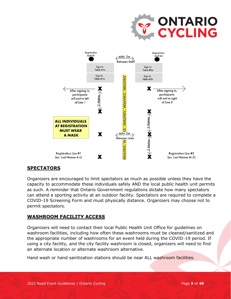

#### <span id="page-4-0"></span>**SPECTATORS**

Organizers are encouraged to limit spectators as much as possible unless they have the capacity to accommodate these individuals safely AND the local public health unit permits as such. A reminder that Ontario Government regulations dictate how many spectators can attend a sporting activity at an outdoor facility. Spectators are required to complete a COVID-19 Screening Form and must physically distance. Organizers may choose not to permit spectators.

#### <span id="page-4-1"></span>**WASHROOM FACILITY ACCESS**

Organizers will need to contact their local Public Health Unit Office for guidelines on washroom facilities, including how often these washrooms must be cleaned/sanitized and the appropriate number of washrooms for an event held during the COVID-19 period. If using a city facility, and the city facility washroom is closed, organizers will need to find an alternate location or alternate washroom alternative.

Hand wash or hand sanitization stations should be near ALL washroom facilities.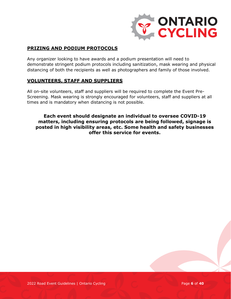

#### <span id="page-5-0"></span>**PRIZING AND PODIUM PROTOCOLS**

Any organizer looking to have awards and a podium presentation will need to demonstrate stringent podium protocols including sanitization, mask wearing and physical distancing of both the recipients as well as photographers and family of those involved.

#### <span id="page-5-1"></span>**VOLUNTEERS, STAFF AND SUPPLIERS**

All on-site volunteers, staff and suppliers will be required to complete the Event Pre-Screening. Mask wearing is strongly encouraged for volunteers, staff and suppliers at all times and is mandatory when distancing is not possible.

**Each event should designate an individual to oversee COVID-19 matters, including ensuring protocols are being followed, signage is posted in high visibility areas, etc. Some health and safety businesses offer this service for events.**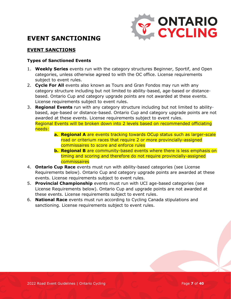

## <span id="page-6-0"></span>**EVENT SANCTIONING**

#### <span id="page-6-1"></span>**EVENT SANCTIONS**

#### **Types of Sanctioned Events**

- 1. **Weekly Series** events run with the category structures Beginner, Sportif, and Open categories, unless otherwise agreed to with the OC office. License requirements subject to event rules.
- 2. **Cycle For All** events also known as Tours and Gran Fondos may run with any category structure including but not limited to ability-based, age-based or distancebased. Ontario Cup and category upgrade points are not awarded at these events. License requirements subject to event rules.
- 3. **Regional Events** run with any category structure including but not limited to abilitybased, age-based or distance-based. Ontario Cup and category upgrade points are not awarded at these events. License requirements subject to event rules. Regional Events will be broken down into 2 levels based on recommended officiating needs:
	- **a. Regional A** are events tracking towards OCup status such as larger-scale road or criterium races that require 2 or more provincially-assigned commissaires to score and enforce rules
	- **b. Regional B** are community-based events where there is less emphasis on timing and scoring and therefore do not require provincially-assigned **commissaires**
- 4. **Ontario Cup Race** events must run with ability-based categories (see License Requirements below). Ontario Cup and category upgrade points are awarded at these events. License requirements subject to event rules.
- 5. **Provincial Championship** events must run with UCI age-based categories (see License Requirements below). Ontario Cup and upgrade points are not awarded at these events. License requirements subject to event rules.
- 6. **National Race** events must run according to Cycling Canada stipulations and sanctioning. License requirements subject to event rules.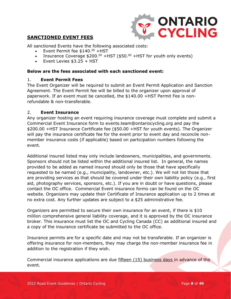

#### **SANCTIONED EVENT FEES**

All sanctioned Events have the following associated costs:

- Event Permit fee \$140.00 +HST
- Insurance Coverage  $$200.<sup>00</sup> +HST ($$50.<sup>00</sup> +HST for youth only events)$
- $\bullet$  Event Levies  $$3.25 + HST$

#### **Below are the fees associated with each sanctioned event:**

#### 1. **Event Permit Fees**

The Event Organizer will be required to submit an Event Permit Application and Sanction Agreement. The Event Permit fee will be billed to the organizer upon approval of paperwork. If an event must be cancelled, the \$140.00 +HST Permit Fee is nonrefundable & non-transferable.

#### 2. **Event Insurance**

Any organizer hosting an event requiring insurance coverage must complete and submit a Commercial Event Insurance form to events.team@ontariocycling.org and pay the \$200.00 +HST Insurance Certificate fee (\$50.00 +HST for youth events). The Organizer will pay the insurance certificate fee for the event prior to event day and reconcile nonmember insurance costs (if applicable) based on participation numbers following the event.

Additional insured listed may only include landowners, municipalities, and governments. Sponsors should not be listed within the additional insured list. In general, the names provided to be added as named insured should only be those that have specifically requested to be named (e.g., municipality, landowner, etc.). We will not list those that are providing services as that should be covered under their own liability policy (e.g., first aid, photography services, sponsors, etc.). If you are in doubt or have questions, please contact the OC office. Commercial Event insurance forms can be found on the OC website. Organizers may update their Certificate of Insurance application up to 2 times at no extra cost. Any further updates are subject to a \$25 administrative fee.

Organizers are permitted to secure their own insurance for an event, if there is \$10 million comprehensive general liability coverage, and it is approved by the OC insurance broker. This insurance must list the OC and Cycling Canada (CC) as additional insured and a copy of the insurance certificate be submitted to the OC office.

Insurance permits are for a specific date and may not be transferable. If an organizer is offering insurance for non-members, they may charge the non-member insurance fee in addition to the registration if they wish.

Commercial insurance applications are due fifteen (15) business days in advance of the event.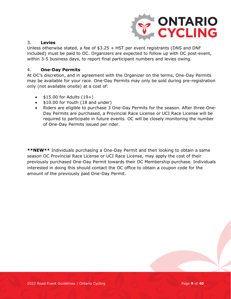

#### 3. **Levies**

Unless otherwise stated, a fee of \$3.25 + HST per event registrants (DNS and DNF included) must be paid to OC. Organizers are expected to follow up with OC post-event, within 3-5 business days, to report final participant numbers and levies owing.

#### 4. **One-Day Permits**

At OC's discretion, and in agreement with the Organizer on the terms, One-Day Permits may be available for your race. One-Day Permits may only be sold during pre-registration only (not available onsite) at a cost of:

- $$15.00$  for Adults  $(19+)$
- \$10.00 for Youth (18 and under)
- Riders are eligible to purchase 3 One-Day Permits for the season. After three One-Day Permits are purchased, a Provincial Race License or UCI Race License will be required to participate in future events. OC will be closely monitoring the number of One-Day Permits issued per rider.

**\*\*NEW\*\*** Individuals purchasing a One-Day Permit and then looking to obtain a same season OC Provincial Race License or UCI Race License, may apply the cost of their previously purchased One-Day Permit towards their OC Membership purchase. Individuals interested in doing this should contact the OC office to obtain a coupon code for the amount of the previously paid One-Day Permit.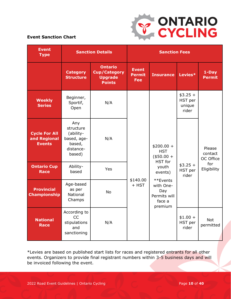

#### **Event Sanction Chart**

| <b>Event</b><br><b>Type</b>                           | <b>Sanction Details</b>                                                       |                                                                          |                                             | <b>Sanction Fees</b>                                              |                                                     |                         |                                |
|-------------------------------------------------------|-------------------------------------------------------------------------------|--------------------------------------------------------------------------|---------------------------------------------|-------------------------------------------------------------------|-----------------------------------------------------|-------------------------|--------------------------------|
|                                                       | <b>Category</b><br><b>Structure</b>                                           | <b>Ontario</b><br><b>Cup/Category</b><br><b>Upgrade</b><br><b>Points</b> | <b>Event</b><br><b>Permit</b><br><b>Fee</b> | <b>Insurance</b>                                                  | Levies*                                             | 1-Day<br><b>Permit</b>  |                                |
| <b>Weekly</b><br><b>Series</b>                        | Beginner,<br>Sportif,<br>Open                                                 | N/A                                                                      |                                             |                                                                   | $$3.25 +$<br>HST per<br>unique<br>rider             |                         |                                |
| <b>Cycle For All</b><br>and Regional<br><b>Events</b> | Any<br>structure<br>(ability-<br>based, age-<br>based,<br>distance-<br>based) | N/A                                                                      | Yes<br>\$140.00<br>$+$ HST<br><b>No</b>     |                                                                   | $$200.00 +$<br><b>HST</b><br>$(*50.00 +$<br>HST for |                         | Please<br>contact<br>OC Office |
| <b>Ontario Cup</b><br><b>Race</b>                     | Ability-<br>based                                                             |                                                                          |                                             | youth<br>events)                                                  | $$3.25 +$<br>HST per<br>rider                       | for<br>Eligibility      |                                |
| <b>Provincial</b><br><b>Championship</b>              | Age-based<br>as per<br>National<br>Champs                                     |                                                                          |                                             | **Events<br>with One-<br>Day<br>Permits will<br>face a<br>premium |                                                     |                         |                                |
| <b>National</b><br><b>Race</b>                        | According to<br>CC<br>stipulations<br>and<br>sanctioning                      | N/A                                                                      |                                             |                                                                   | $$1.00 +$<br>HST per<br>rider                       | <b>Not</b><br>permitted |                                |

\*Levies are based on published start lists for races and registered entrants for all other events. Organizers to provide final registrant numbers within 3-5 business days and will be invoiced following the event.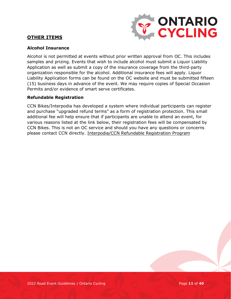#### <span id="page-10-0"></span>**OTHER ITEMS**



#### **Alcohol Insurance**

Alcohol is not permitted at events without prior written approval from OC. This includes samples and prizing. Events that wish to include alcohol must submit a Liquor Liability Application as well as submit a copy of the insurance coverage from the third-party organization responsible for the alcohol. Additional insurance fees will apply. Liquor Liability Application forms can be found on the OC website and must be submitted fifteen (15) business days in advance of the event. We may require copies of Special Occasion Permits and/or evidence of smart serve certificates.

#### **Refundable Registration**

CCN Bikes/Interpodia has developed a system where individual participants can register and purchase "upgraded refund terms" as a form of registration protection. This small additional fee will help ensure that if participants are unable to attend an event, for various reasons listed at the link below, their registration fees will be compensated by CCN Bikes. This is not an OC service and should you have any questions or concerns please contact CCN directly. [Interpodia/CCN Refundable Registration Program](https://interpodia.com/new-feature-refundable-registrations-enabled-to-improve-purchaser-confidence/)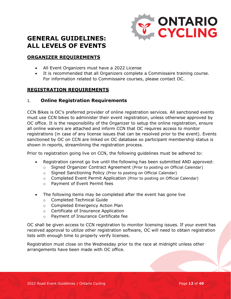

### <span id="page-11-0"></span>**GENERAL GUIDELINES: ALL LEVELS OF EVENTS**

#### <span id="page-11-1"></span>**ORGANIZER REQUIREMENTS**

- All Event Organizers must have a 2022 License
- It is recommended that all Organizers complete a Commissaire training course. For information related to Commissaire courses, please contact OC.

#### <span id="page-11-2"></span>**REGISTRATION REQUIREMENTS**

#### 1. **Online Registration Requirements**

CCN Bikes is OC's preferred provider of online registration services. All sanctioned events must use CCN bikes to administer their event registration, unless otherwise approved by OC office. It is the responsibility of the Organizer to setup the online registration, ensure all online waivers are attached and inform CCN that OC requires access to monitor registrations (in case of any license issues that can be resolved prior to the event). Events sanctioned by OC on CCN are linked on OC database so participant membership status is shown in reports, streamlining the registration process.

Prior to registration going live on CCN, the following guidelines must be adhered to:

- Registration cannot go live until the following has been submitted AND approved:
	- o Signed Organizer Contract Agreement (Prior to posting on Official Calendar)
	- o Signed Sanctioning Policy (Prior to posting on Official Calendar)
	- o Completed Event Permit Application (Prior to posting on Official Calendar)
	- o Payment of Event Permit fees
- The following items may be completed after the event has gone live
	- o Completed Technical Guide
	- o Completed Emergency Action Plan
	- o Certificate of Insurance Application
	- o Payment of Insurance Certificate fee

OC shall be given access to CCN registration to monitor licensing issues. If your event has received approval to utilize other registration software, OC will need to obtain registration lists with enough time to properly verify licenses.

Registration must close on the Wednesday prior to the race at midnight unless other arrangements have been made with OC office.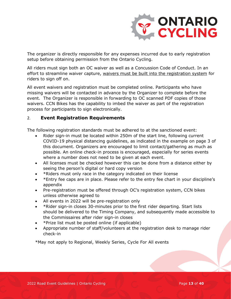

The organizer is directly responsible for any expenses incurred due to early registration setup before obtaining permission from the Ontario Cycling.

All riders must sign both an OC waiver as well as a Concussion Code of Conduct. In an effort to streamline waiver capture, waivers must be built into the registration system for riders to sign off on.

All event waivers and registration must be completed online. Participants who have missing waivers will be contacted in advance by the Organizer to complete before the event. The Organizer is responsible in forwarding to OC scanned PDF copies of those waivers. CCN Bikes has the capability to imbed the waiver as part of the registration process for participants to sign electronically.

#### 2. **Event Registration Requirements**

The following registration standards must be adhered to at the sanctioned event:

- Rider sign-in must be located within 250m of the start line, following current COVID-19 physical distancing guidelines, as indicated in the example on page 3 of this document. Organizers are encouraged to limit contact/gathering as much as possible. An online check-in process is encouraged, especially for series events where a number does not need to be given at each event.
- All licenses must be checked however this can be done from a distance either by seeing the person's digital or hard copy version
- \*Riders must only race in the category indicated on their license
- \*Entry fee caps are in place. Please refer to the entry fee chart in your discipline's appendix
- Pre-registration must be offered through OC's registration system, CCN bikes unless otherwise agreed to
- All events in 2022 will be pre-registration only
- \*Rider sign-in closes 30-minutes prior to the first rider departing. Start lists should be delivered to the Timing Company, and subsequently made accessible to the Commissaires after rider sign-in closes
- \*Prize list must be posted online (if applicable)
- Appropriate number of staff/volunteers at the registration desk to manage rider check-in

\*May not apply to Regional, Weekly Series, Cycle For All events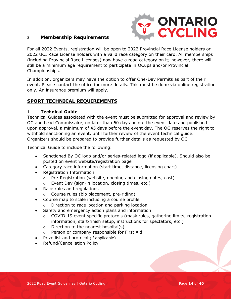

#### 3. **Membership Requirements**

For all 2022 Events, registration will be open to 2022 Provincial Race License holders or 2022 UCI Race License holders with a valid race category on their card. All memberships (including Provincial Race Licenses) now have a road category on it; however, there will still be a minimum age requirement to participate in OCups and/or Provincial Championships.

In addition, organizers may have the option to offer One-Day Permits as part of their event. Please contact the office for more details. This must be done via online registration only. An insurance premium will apply.

#### <span id="page-13-0"></span>**SPORT TECHNICAL REQUIREMENTS**

#### 1. **Technical Guide**

Technical Guides associated with the event must be submitted for approval and review by OC and Lead Commissaire, no later than 60 days before the event date and published upon approval, a minimum of 45 days before the event day. The OC reserves the right to withhold sanctioning an event, until further review of the event technical guide. Organizers should be prepared to provide further details as requested by OC.

Technical Guide to include the following:

- Sanctioned By OC logo and/or series-related logo (if applicable). Should also be posted on event website/registration page
- Category race information (start time, distance, licensing chart)
- Registration Information
	- o Pre-Registration (website, opening and closing dates, cost)
	- o Event Day (sign-in location, closing times, etc.)
- Race rules and regulations
	- o Course rules (bib placement, pre-riding)
- Course map to scale including a course profile
	- o Direction to race location and parking location
- Safety and emergency action plans and information
	- o COVID-19 event specific protocols (mask rules, gathering limits, registration information, start/finish setup, instructions for spectators, etc.)
	- $\circ$  Direction to the nearest hospital(s)
	- o Person or company responsible for First Aid
- Prize list and protocol (if applicable)
- Refund/Cancellation Policy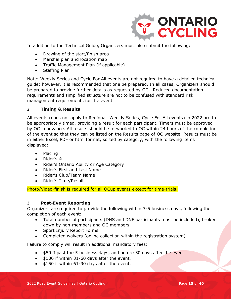

In addition to the Technical Guide, Organizers must also submit the following:

- Drawing of the start/finish area
- Marshal plan and location map
- Traffic Management Plan (if applicable)
- Staffing Plan

Note: Weekly Series and Cycle For All events are not required to have a detailed technical guide; however, it is recommended that one be prepared. In all cases, Organizers should be prepared to provide further details as requested by OC. Reduced documentation requirements and simplified structure are not to be confused with standard risk management requirements for the event

#### 2. **Timing & Results**

All events (does not apply to Regional, Weekly Series, Cycle For All events) in 2022 are to be appropriately timed, providing a result for each participant. Timers must be approved by OC in advance. All results should be forwarded to OC within 24 hours of the completion of the event so that they can be listed on the Results page of OC website. Results must be in either Excel, PDF or html format, sorted by category, with the following items displayed:

- Placing
- Rider's  $#$
- Rider's Ontario Ability or Age Category
- Rider's First and Last Name
- Rider's Club/Team Name
- Rider's Time/Result

Photo/Video-finish is required for all OCup events except for time-trials.

#### 3. **Post-Event Reporting**

Organizers are required to provide the following within 3-5 business days, following the completion of each event:

- Total number of participants (DNS and DNF participants must be included), broken down by non-members and OC members.
- Sport Injury Report Forms
- Completed waivers (online collection within the registration system)

Failure to comply will result in additional mandatory fees:

- \$50 if past the 5 business days, and before 30 days after the event.
- \$100 if within 31-60 days after the event.
- \$150 if within 61-90 days after the event.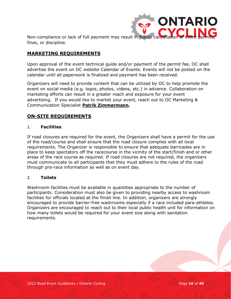

Non-compliance or lack of full payment may result in future cancellation fines, or discipline.

#### <span id="page-15-0"></span>**MARKETING REQUIREMENTS**

Upon approval of the event technical guide and/or payment of the permit fee, OC shall advertise the event on OC website Calendar of Events. Events will not be posted on the calendar until all paperwork is finalized and payment has been received.

Organizers will need to provide content that can be utilized by OC to help promote the event on social media (e.g. logos, photos, videos, etc.) in advance. Collaboration on marketing efforts can result in a greater reach and exposure for your event advertising. If you would like to market your event, reach out to OC Marketing & Communication Specialist **[Patrik Zimmermann.](mailto:patrik.zimmermann@ontariocycling.org)**

#### <span id="page-15-1"></span>**ON-SITE REQUIREMENTS**

#### 1. **Facilities**

If road closures are required for the event, the Organizers shall have a permit for the use of the road/course and shall ensure that the road closure complies with all local requirements. The Organizer is responsible to ensure that adequate barricades are in place to keep spectators off the racecourse in the vicinity of the start/finish and or other areas of the race course as required. If road closures are not required, the organizers must communicate to all participants that they must adhere to the rules of the road through pre-race information as well as on event day.

#### 2. **Toilets**

Washroom facilities must be available in quantities appropriate to the number of participants. Consideration must also be given to providing nearby access to washroom facilities for officials located at the finish line. In addition, organizers are strongly encouraged to provide barrier-free washrooms especially if a race included para-athletes. Organizers are encouraged to reach out to their local public health unit for information on how many toilets would be required for your event size along with sanitation requirements.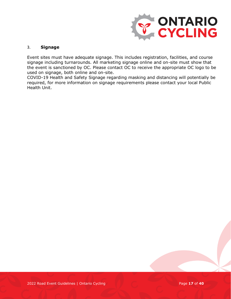

#### 3. **Signage**

Event sites must have adequate signage. This includes registration, facilities, and course signage including turnarounds. All marketing signage online and on-site must show that the event is sanctioned by OC. Please contact OC to receive the appropriate OC logo to be used on signage, both online and on-site.

COVID-19 Health and Safety Signage regarding masking and distancing will potentially be required, for more information on signage requirements please contact your local Public Health Unit.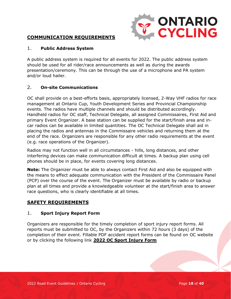

#### <span id="page-17-0"></span>**COMMUNICATION REQUIREMENTS**

#### 1. **Public Address System**

A public address system is required for all events for 2022. The public address system should be used for all rider/race announcements as well as during the awards presentation/ceremony. This can be through the use of a microphone and PA system and/or loud hailer.

#### 2. **On-site Communications**

OC shall provide on a best-efforts basis, appropriately licensed, 2-Way VHF radios for race management at Ontario Cup, Youth Development Series and Provincial Championship events. The radios have multiple channels and should be distributed accordingly. Handheld radios for OC staff, Technical Delegate, all assigned Commissaires, First Aid and primary Event Organizer. A base station can be supplied for the start/finish area and incar radios can be available in limited quantities. The OC Technical Delegate shall aid in placing the radios and antennas in the Commissaire vehicles and returning them at the end of the race. Organizers are responsible for any other radio requirements at the event (e.g. race operations of the Organizer).

Radios may not function well in all circumstances - hills, long distances, and other interfering devices can make communication difficult at times. A backup plan using cell phones should be in place, for events covering long distances.

**Note:** The Organizer must be able to always contact First Aid and also be equipped with the means to effect adequate communication with the President of the Commissaire Panel (PCP) over the course of the event. The Organizer must be available by radio or backup plan at all times and provide a knowledgeable volunteer at the start/finish area to answer race questions, who is clearly identifiable at all times.

#### <span id="page-17-1"></span>**SAFETY REQUIREMENTS**

#### 1. **Sport Injury Report Form**

Organizers are responsible for the timely completion of sport injury report forms. All reports must be submitted to OC, by the Organizers within 72 hours (3 days) of the completion of their event. Fillable PDF accident report forms can be found on OC website or by clicking the following link **2022 OC [Sport Injury Form](https://ontariocycling.org/forms/2022-sport-injury-report-form/)**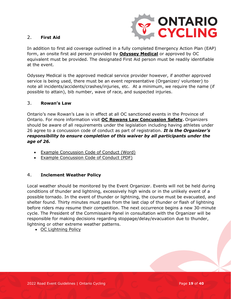

#### 2. **First Aid**

In addition to first aid coverage outlined in a fully completed Emergency Action Plan (EAP) form, an onsite first aid person provided by **[Odyssey Medical](https://odysseymedical.ca/)** or approved by OC equivalent must be provided. The designated First Aid person must be readily identifiable at the event.

Odyssey Medical is the approved medical service provider however, if another approved service is being used, there must be an event representative (Organizer/ volunteer) to note all incidents/accidents/crashes/injuries, etc. At a minimum, we require the name (if possible to attain), bib number, wave of race, and suspected injuries.

#### 3. **Rowan's Law**

Ontario's new Rowan's Law is in effect at all OC sanctioned events in the Province of Ontario. For more information visit **OC [Rowans Law Concussion Safety](https://www.ontario.ca/page/rowans-law-concussion-safety).** Organizers should be aware of all requirements under the legislation including having athletes under 26 agree to a concussion code of conduct as part of registration. *It is the Organizer's responsibility to ensure completion of this waiver by all participants under the age of 26.*

- [Example Concussion Code of Conduct \(Word\)](https://files.ontario.ca/mtcs-templates-athlete-code-of-conduct-aoda-2019-06-25.docx)
- [Example Concussion Code of Conduct \(PDF\)](https://files.ontario.ca/mhstci-rowans-law-codes-of-conduct-20191120-athletes-en.pdf)

#### 4. **Inclement Weather Policy**

Local weather should be monitored by the Event Organizer. Events will not be held during conditions of thunder and lightning, excessively high winds or in the unlikely event of a possible tornado. In the event of thunder or lightning, the course must be evacuated, and shelter found. Thirty minutes must pass from the last clap of thunder or flash of lightning before riders may resume their competition. The next occurrence begins a new 30-minute cycle. The President of the Commissaire Panel in consultation with the Organizer will be responsible for making decisions regarding stoppage/delay/evacuation due to thunder, lightning or other extreme weather patterns.

• OC [Lightning Policy](http://www.ontariocycling.org/forms/lightning-policy/)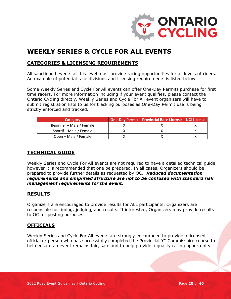

## <span id="page-19-0"></span>**WEEKLY SERIES & CYCLE FOR ALL EVENTS**

#### <span id="page-19-1"></span>**CATEGORIES & LICENSING REQUIREMENTS**

All sanctioned events at this level must provide racing opportunities for all levels of riders. An example of potential race divisions and licensing requirements is listed below.

Some Weekly Series and Cycle For All events can offer One-Day Permits purchase for first time racers. For more information including if your event qualifies, please contact the Ontario Cycling directly. Weekly Series and Cycle For All event organizers will have to submit registration lists to us for tracking purposes as One-Day Permit use is being strictly enforced and tracked.

| Category                 | <b>One-Day Permit Provincial Race License   UCI License</b> |  |
|--------------------------|-------------------------------------------------------------|--|
| Beginner - Male / Female |                                                             |  |
| Sportif - Male / Female  |                                                             |  |
| Open – Male / Female     |                                                             |  |

#### <span id="page-19-2"></span>**TECHNICAL GUIDE**

Weekly Series and Cycle For All events are not required to have a detailed technical guide however it is recommended that one be prepared. In all cases, Organizers should be prepared to provide further details as requested by OC. *Reduced documentation requirements and simplified structure are not to be confused with standard risk management requirements for the event.*

#### <span id="page-19-3"></span>**RESULTS**

Organizers are encouraged to provide results for ALL participants. Organizers are responsible for timing, judging, and results. If interested, Organizers may provide results to OC for posting purposes.

#### <span id="page-19-4"></span>**OFFICIALS**

Weekly Series and Cycle For All events are strongly encouraged to provide a licensed official or person who has successfully completed the Provincial 'C' Commissaire course to help ensure an event remains fair, safe and to help provide a quality racing opportunity.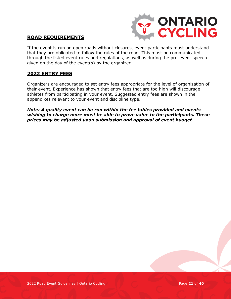

#### <span id="page-20-0"></span>**ROAD REQUIREMENTS**

If the event is run on open roads without closures, event participants must understand that they are obligated to follow the rules of the road. This must be communicated through the listed event rules and regulations, as well as during the pre-event speech given on the day of the event(s) by the organizer.

#### <span id="page-20-1"></span>**2022 ENTRY FEES**

Organizers are encouraged to set entry fees appropriate for the level of organization of their event. Experience has shown that entry fees that are too high will discourage athletes from participating in your event. Suggested entry fees are shown in the appendixes relevant to your event and discipline type.

*Note: A quality event can be run within the fee tables provided and events wishing to charge more must be able to prove value to the participants. These prices may be adjusted upon submission and approval of event budget.*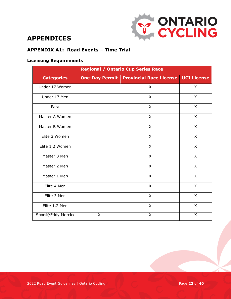

## <span id="page-21-0"></span>**APPENDICES**

#### <span id="page-21-1"></span>**APPENDIX A1: Road Events – Time Trial**

#### **Licensing Requirements**

| <b>Regional / Ontario Cup Series Race</b> |                       |                                |                    |  |
|-------------------------------------------|-----------------------|--------------------------------|--------------------|--|
| <b>Categories</b>                         | <b>One-Day Permit</b> | <b>Provincial Race License</b> | <b>UCI License</b> |  |
| Under 17 Women                            |                       | X                              | X                  |  |
| Under 17 Men                              |                       | X                              | X                  |  |
| Para                                      |                       | X                              | X                  |  |
| Master A Women                            |                       | X                              | X                  |  |
| Master B Women                            |                       | X                              | X                  |  |
| Elite 3 Women                             |                       | X                              | $\pmb{\times}$     |  |
| Elite 1,2 Women                           |                       | X                              | X                  |  |
| Master 3 Men                              |                       | X                              | X                  |  |
| Master 2 Men                              |                       | $\mathsf{X}$                   | X                  |  |
| Master 1 Men                              |                       | X                              | X                  |  |
| Elite 4 Men                               |                       | $\mathsf{X}$                   | $\mathsf{X}$       |  |
| Elite 3 Men                               |                       | X                              | X                  |  |
| Elite 1,2 Men                             |                       | $\mathsf{X}$                   | X                  |  |
| Sportif/Eddy Merckx                       | X                     | $\mathsf{X}$                   | X                  |  |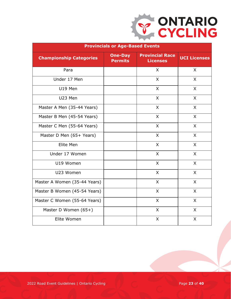

| <b>Provincials or Age-Based Events</b> |                                  |                                           |                     |  |
|----------------------------------------|----------------------------------|-------------------------------------------|---------------------|--|
| <b>Championship Categories</b>         | <b>One-Day</b><br><b>Permits</b> | <b>Provincial Race</b><br><b>Licenses</b> | <b>UCI</b> Licenses |  |
| Para                                   |                                  | X                                         | X                   |  |
| Under 17 Men                           |                                  | X                                         | X                   |  |
| U19 Men                                |                                  | X                                         | X                   |  |
| U23 Men                                |                                  | X                                         | $\mathsf{X}$        |  |
| Master A Men (35-44 Years)             |                                  | $\mathsf{X}$                              | $\mathsf{X}$        |  |
| Master B Men (45-54 Years)             |                                  | X                                         | $\mathsf{X}$        |  |
| Master C Men (55-64 Years)             |                                  | X                                         | X                   |  |
| Master D Men (65+ Years)               |                                  | X                                         | $\overline{X}$      |  |
| Elite Men                              |                                  | X                                         | X                   |  |
| Under 17 Women                         |                                  | X                                         | X                   |  |
| U19 Women                              |                                  | X                                         | X                   |  |
| U23 Women                              |                                  | X                                         | X                   |  |
| Master A Women (35-44 Years)           |                                  | X                                         | X                   |  |
| Master B Women (45-54 Years)           |                                  | X                                         | X                   |  |
| Master C Women (55-64 Years)           |                                  | X                                         | X                   |  |
| Master D Women (65+)                   |                                  | X                                         | X                   |  |
| Elite Women                            |                                  | X                                         | X                   |  |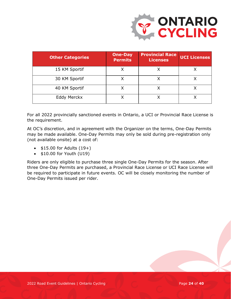

| <b>Other Categories</b> | <b>One-Day</b><br><b>Permits</b> | <b>Provincial Race</b><br>Licenses | <b>UCI Licenses</b> |
|-------------------------|----------------------------------|------------------------------------|---------------------|
| 15 KM Sportif           |                                  |                                    |                     |
| 30 KM Sportif           |                                  |                                    |                     |
| 40 KM Sportif           |                                  |                                    |                     |
| Eddy Merckx             |                                  |                                    |                     |

For all 2022 provincially sanctioned events in Ontario, a UCI or Provincial Race License is the requirement.

At OC's discretion, and in agreement with the Organizer on the terms, One-Day Permits may be made available. One-Day Permits may only be sold during pre-registration only (not available onsite) at a cost of:

- $\bullet$  \$15.00 for Adults  $(19+)$
- \$10.00 for Youth (U19)

Riders are only eligible to purchase three single One-Day Permits for the season. After three One-Day Permits are purchased, a Provincial Race License or UCI Race License will be required to participate in future events. OC will be closely monitoring the number of One-Day Permits issued per rider.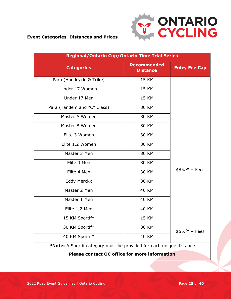

#### **Event Categories, Distances and Prices**

| <b>Regional/Ontario Cup/Ontario Time Trial Series</b>               |                                       |                      |  |
|---------------------------------------------------------------------|---------------------------------------|----------------------|--|
| <b>Categories</b>                                                   | <b>Recommended</b><br><b>Distance</b> | <b>Entry Fee Cap</b> |  |
| Para (Handcycle & Trike)                                            | <b>15 KM</b>                          |                      |  |
| Under 17 Women                                                      | <b>15 KM</b>                          |                      |  |
| Under 17 Men                                                        | <b>15 KM</b>                          |                      |  |
| Para (Tandem and "C" Class)                                         | <b>30 KM</b>                          |                      |  |
| Master A Women                                                      | <b>30 KM</b>                          |                      |  |
| Master B Women                                                      | 30 KM                                 |                      |  |
| Elite 3 Women                                                       | <b>30 KM</b>                          |                      |  |
| Elite 1,2 Women                                                     | 30 KM                                 |                      |  |
| Master 3 Men                                                        | 30 KM                                 |                      |  |
| Elite 3 Men                                                         | 30 KM                                 |                      |  |
| Elite 4 Men                                                         | <b>30 KM</b>                          | $$85.^{00}$ + Fees   |  |
| <b>Eddy Merckx</b>                                                  | 30 KM                                 |                      |  |
| Master 2 Men                                                        | <b>40 KM</b>                          |                      |  |
| Master 1 Men                                                        | <b>40 KM</b>                          |                      |  |
| Elite 1,2 Men                                                       | <b>40 KM</b>                          |                      |  |
| 15 KM Sportif*                                                      | <b>15 KM</b>                          |                      |  |
| 30 KM Sportif*                                                      | 30 KM                                 | $$55.^{00}$ + Fees   |  |
| 40 KM Sportif*                                                      | <b>40 KM</b>                          |                      |  |
| *Note: A Sportif category must be provided for each unique distance |                                       |                      |  |

**Please contact OC office for more information**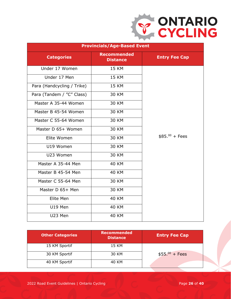

|                            | <b>Provincials/Age-Based Event</b>    |                      |
|----------------------------|---------------------------------------|----------------------|
| <b>Categories</b>          | <b>Recommended</b><br><b>Distance</b> | <b>Entry Fee Cap</b> |
| Under 17 Women             | <b>15 KM</b>                          |                      |
| Under 17 Men               | <b>15 KM</b>                          |                      |
| Para (Handcycling / Trike) | <b>15 KM</b>                          |                      |
| Para (Tandem / "C" Class)  | <b>30 KM</b>                          |                      |
| Master A 35-44 Women       | <b>30 KM</b>                          |                      |
| Master B 45-54 Women       | <b>30 KM</b>                          |                      |
| Master C 55-64 Women       | <b>30 KM</b>                          |                      |
| Master D 65+ Women         | <b>30 KM</b>                          |                      |
| Elite Women                | <b>30 KM</b>                          | $$85.^{00}$ + Fees   |
| U19 Women                  | <b>30 KM</b>                          |                      |
| U23 Women                  | <b>30 KM</b>                          |                      |
| Master A 35-44 Men         | <b>40 KM</b>                          |                      |
| Master B 45-54 Men         | <b>40 KM</b>                          |                      |
| Master C 55-64 Men         | 30 KM                                 |                      |
| Master D 65+ Men           | <b>30 KM</b>                          |                      |
| Elite Men                  | <b>40 KM</b>                          |                      |
| U19 Men                    | <b>40 KM</b>                          |                      |
| U23 Men                    | <b>40 KM</b>                          |                      |

| <b>Other Categories</b> | <b>Recommended</b><br><b>Distance</b> | <b>Entry Fee Cap</b> |
|-------------------------|---------------------------------------|----------------------|
| 15 KM Sportif           | 15 KM                                 |                      |
| 30 KM Sportif           | 30 KM                                 | $$55.^{00}$ + Fees   |
| 40 KM Sportif           | 40 KM                                 |                      |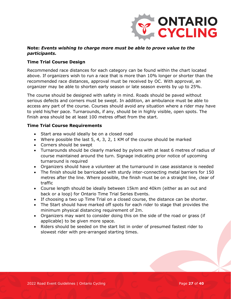

#### **Note:** *Events wishing to charge more must be able to prove value to the participants.*

#### **Time Trial Course Design**

Recommended race distances for each category can be found within the chart located above. If organizers wish to run a race that is more than 10% longer or shorter than the recommended race distances, approval must be received by OC. With approval, an organizer may be able to shorten early season or late season events by up to 25%.

The course should be designed with safety in mind. Roads should be paved without serious defects and corners must be swept. In addition, an ambulance must be able to access any part of the course. Courses should avoid any situation where a rider may have to yield his/her pace. Turnarounds, if any, should be in highly visible, open spots. The finish area should be at least 100 metres offset from the start.

#### **Time Trial Course Requirements**

- Start area would ideally be on a closed road
- Where possible the last 5, 4, 3, 2, 1 KM of the course should be marked
- Corners should be swept
- Turnarounds should be clearly marked by pylons with at least 6 metres of radius of course maintained around the turn. Signage indicating prior notice of upcoming turnaround is required
- Organizers should have a volunteer at the turnaround in case assistance is needed
- The finish should be barricaded with sturdy inter-connecting metal barriers for 150 metres after the line. Where possible, the finish must be on a straight line, clear of traffic
- Course length should be ideally between 15km and 40km (either as an out and back or a loop) for Ontario Time Trial Series Events.
- If choosing a two up Time Trial on a closed course, the distance can be shorter.
- The Start should have marked off spots for each rider to stage that provides the minimum physical distancing requirement of 2m.
- Organizers may want to consider doing this on the side of the road or grass (if applicable) to be given more space.
- Riders should be seeded on the start list in order of presumed fastest rider to slowest rider with pre-arranged starting times.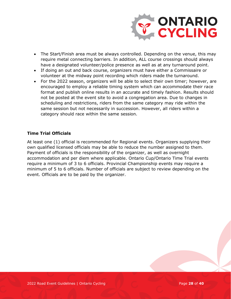

- The Start/Finish area must be always controlled. Depending on the venue, this may require metal connecting barriers. In addition, ALL course crossings should always have a designated volunteer/police presence as well as at any turnaround point.
- If doing an out and back course, organizers must have either a Commissaire or volunteer at the midway point recording which riders made the turnaround.
- For the 2022 season, organizers will be able to select their own timer; however, are encouraged to employ a reliable timing system which can accommodate their race format and publish online results in an accurate and timely fashion. Results should not be posted at the event site to avoid a congregation area. Due to changes in scheduling and restrictions, riders from the same category may ride within the same session but not necessarily in succession. However, all riders within a category should race within the same session.

#### **Time Trial Officials**

At least one (1) official is recommended for Regional events. Organizers supplying their own qualified licensed officials may be able to reduce the number assigned to them. Payment of officials is the responsibility of the organizer, as well as overnight accommodation and per diem where applicable. Ontario Cup/Ontario Time Trial events require a minimum of 3 to 6 officials. Provincial Championship events may require a minimum of 5 to 6 officials. Number of officials are subject to review depending on the event. Officials are to be paid by the organizer.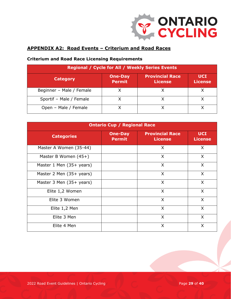

#### <span id="page-28-0"></span>**APPENDIX A2: Road Events – Criterium and Road Races**

| <b>Regional / Cycle for All / Weekly Series Events</b>                                                                         |  |  |  |
|--------------------------------------------------------------------------------------------------------------------------------|--|--|--|
| <b>Provincial Race</b><br><b>UCI</b><br><b>One-Day</b><br><b>Category</b><br><b>Permit</b><br><b>License</b><br><b>License</b> |  |  |  |
| Beginner - Male / Female                                                                                                       |  |  |  |
| Sportif - Male / Female                                                                                                        |  |  |  |
| Open - Male / Female                                                                                                           |  |  |  |

#### **Criterium and Road Race Licensing Requirements**

| <b>Ontario Cup / Regional Race</b> |                                 |                                          |                              |
|------------------------------------|---------------------------------|------------------------------------------|------------------------------|
| <b>Categories</b>                  | <b>One-Day</b><br><b>Permit</b> | <b>Provincial Race</b><br><b>License</b> | <b>UCI</b><br><b>License</b> |
| Master A Women (35-44)             |                                 | X                                        | X                            |
| Master B Women $(45+)$             |                                 | X                                        | $\mathsf{X}$                 |
| Master 1 Men (35+ years)           |                                 | $\mathsf{X}$                             | X                            |
| Master 2 Men (35+ years)           |                                 | $\mathsf{X}$                             | X                            |
| Master 3 Men (35+ years)           |                                 | $\mathsf{X}$                             | X                            |
| Elite 1,2 Women                    |                                 | X                                        | $\mathsf{X}$                 |
| Elite 3 Women                      |                                 | X                                        | $\mathsf{X}$                 |
| Elite 1,2 Men                      |                                 | X                                        | $\sf X$                      |
| Elite 3 Men                        |                                 | $\mathsf{X}$                             | $\mathsf{X}$                 |
| Elite 4 Men                        |                                 | X                                        | X                            |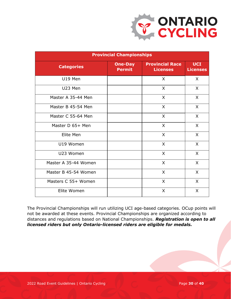

| <b>Provincial Championships</b> |                                 |                                           |                               |  |
|---------------------------------|---------------------------------|-------------------------------------------|-------------------------------|--|
| <b>Categories</b>               | <b>One-Day</b><br><b>Permit</b> | <b>Provincial Race</b><br><b>Licenses</b> | <b>UCI</b><br><b>Licenses</b> |  |
| U19 Men                         |                                 | X                                         | X                             |  |
| U23 Men                         |                                 | $\mathsf{X}$                              | X                             |  |
| Master A 35-44 Men              |                                 | $\mathsf{X}$                              | X                             |  |
| Master B 45-54 Men              |                                 | X                                         | X                             |  |
| Master C 55-64 Men              |                                 | $\mathsf{X}$                              | X                             |  |
| Master D 65+ Men                |                                 | $\sf X$                                   | X                             |  |
| Elite Men                       |                                 | X                                         | X                             |  |
| U19 Women                       |                                 | $\mathsf{X}$                              | X                             |  |
| U23 Women                       |                                 | $\sf X$                                   | X                             |  |
| Master A 35-44 Women            |                                 | X                                         | X                             |  |
| Master B 45-54 Women            |                                 | $\mathsf{X}$                              | X                             |  |
| Masters C 55+ Women             |                                 | X                                         | X                             |  |
| Elite Women                     |                                 | X                                         | X                             |  |

The Provincial Championships will run utilizing UCI age-based categories. OCup points will not be awarded at these events. Provincial Championships are organized according to distances and regulations based on National Championships. *Registration is open to all licensed riders but only Ontario-licensed riders are eligible for medals.*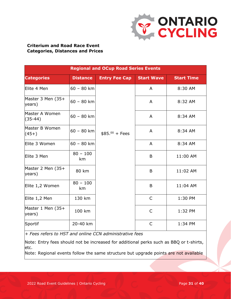

#### **Criterium and Road Race Event Categories, Distances and Prices**

| <b>Regional and OCup Road Series Events</b> |                  |                      |                   |                   |
|---------------------------------------------|------------------|----------------------|-------------------|-------------------|
| <b>Categories</b>                           | <b>Distance</b>  | <b>Entry Fee Cap</b> | <b>Start Wave</b> | <b>Start Time</b> |
| Elite 4 Men                                 | $60 - 80$ km     |                      | A                 | 8:30 AM           |
| Master 3 Men (35+<br>years)                 | $60 - 80$ km     |                      | A                 | 8:32 AM           |
| Master A Women<br>$(35-44)$                 | $60 - 80$ km     |                      | A                 | 8:34 AM           |
| Master B Women<br>$(45+)$                   | $60 - 80$ km     | $$85.^{00} + Fees$   | A                 | 8:34 AM           |
| Elite 3 Women                               | $60 - 80$ km     |                      | A                 | 8:34 AM           |
| Elite 3 Men                                 | $80 - 100$<br>km |                      | B                 | 11:00 AM          |
| Master 2 Men (35+<br>years)                 | 80 km            |                      | B                 | 11:02 AM          |
| Elite 1,2 Women                             | $80 - 100$<br>km |                      | B                 | 11:04 AM          |
| Elite 1,2 Men                               | 130 km           |                      | $\mathsf{C}$      | 1:30 PM           |
| Master 1 Men (35+<br>years)                 | 100 km           |                      | $\mathsf{C}$      | 1:32 PM           |
| Sportif                                     | 20-40 km         |                      | $\mathsf{C}$      | 1:34 PM           |

*+ Fees refers to HST and online CCN administrative fees*

Note: Entry fees should not be increased for additional perks such as BBQ or t-shirts, etc.

Note: Regional events follow the same structure but upgrade points are not available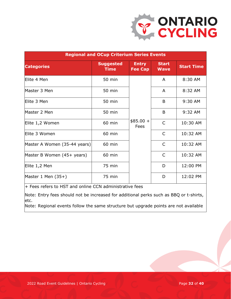

| <b>Regional and OCup Criterium Series Events</b> |                                 |                                |                             |                   |  |
|--------------------------------------------------|---------------------------------|--------------------------------|-----------------------------|-------------------|--|
| <b>Categories</b>                                | <b>Suggested</b><br><b>Time</b> | <b>Entry</b><br><b>Fee Cap</b> | <b>Start</b><br><b>Wave</b> | <b>Start Time</b> |  |
| Elite 4 Men                                      | 50 min                          |                                | A                           | 8:30 AM           |  |
| Master 3 Men                                     | 50 min                          |                                | A                           | 8:32 AM           |  |
| Elite 3 Men                                      | 50 min                          |                                | B                           | 9:30 AM           |  |
| Master 2 Men                                     | 50 min                          |                                | B                           | 9:32 AM           |  |
| Elite 1,2 Women                                  | 60 min                          | $$85.00 +$<br>Fees             | $\mathsf{C}$                | 10:30 AM          |  |
| Elite 3 Women                                    | 60 min                          |                                | $\mathsf{C}$                | 10:32 AM          |  |
| Master A Women (35-44 years)                     | 60 min                          |                                | $\mathsf{C}$                | 10:32 AM          |  |
| Master B Women (45+ years)                       | 60 min                          |                                | $\mathsf{C}$                | 10:32 AM          |  |
| Elite 1,2 Men                                    | 75 min                          |                                | D                           | 12:00 PM          |  |
| Master 1 Men $(35+)$                             | 75 min                          |                                | D                           | 12:02 PM          |  |

+ Fees refers to HST and online CCN administrative fees

Note: Entry fees should not be increased for additional perks such as BBQ or t-shirts, etc.

Note: Regional events follow the same structure but upgrade points are not available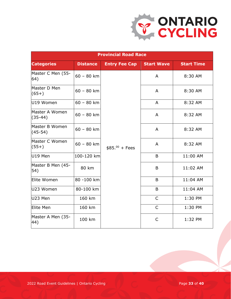

| <b>Provincial Road Race</b>       |                 |                      |                   |                   |  |
|-----------------------------------|-----------------|----------------------|-------------------|-------------------|--|
| <b>Categories</b>                 | <b>Distance</b> | <b>Entry Fee Cap</b> | <b>Start Wave</b> | <b>Start Time</b> |  |
| Master C Men (55-<br>64)          | $60 - 80$ km    |                      | A                 | 8:30 AM           |  |
| Master D Men<br>$(65+)$           | $60 - 80$ km    |                      | A                 | 8:30 AM           |  |
| U19 Women                         | $60 - 80$ km    |                      | $\overline{A}$    | 8:32 AM           |  |
| Master A Women<br>$(35-44)$       | $60 - 80$ km    |                      | A                 | 8:32 AM           |  |
| Master B Women<br>$(45-54)$       | $60 - 80$ km    |                      | A                 | 8:32 AM           |  |
| Master C Women<br>$(55+)$         | $60 - 80$ km    | $$85.^{00}$ + Fees   | A                 | 8:32 AM           |  |
| U19 Men                           | 100-120 km      |                      | B                 | 11:00 AM          |  |
| Master B Men (45-<br>$ 54\rangle$ | 80 km           |                      | B                 | 11:02 AM          |  |
| Elite Women                       | 80 -100 km      |                      | B                 | 11:04 AM          |  |
| U23 Women                         | 80-100 km       |                      | B                 | 11:04 AM          |  |
| U23 Men                           | 160 km          |                      | $\mathsf{C}$      | 1:30 PM           |  |
| Elite Men                         | 160 km          |                      | $\mathsf{C}$      | 1:30 PM           |  |
| Master A Men (35-<br>44)          | 100 km          |                      | $\mathsf{C}$      | 1:32 PM           |  |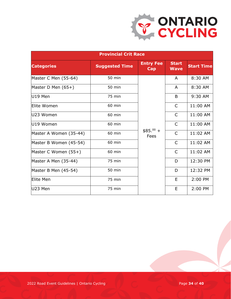

| <b>Provincial Crit Race</b> |                       |                         |                             |                   |  |
|-----------------------------|-----------------------|-------------------------|-----------------------------|-------------------|--|
| <b>Categories</b>           | <b>Suggested Time</b> | <b>Entry Fee</b><br>Cap | <b>Start</b><br><b>Wave</b> | <b>Start Time</b> |  |
| Master C Men (55-64)        | 50 min                |                         | A                           | 8:30 AM           |  |
| Master D Men $(65+)$        | 50 min                |                         | A                           | 8:30 AM           |  |
| U19 Men                     | 75 min                |                         | B                           | 9:30 AM           |  |
| Elite Women                 | 60 min                |                         | $\mathsf{C}$                | 11:00 AM          |  |
| U23 Women                   | 60 min                |                         | $\mathsf{C}$                | 11:00 AM          |  |
| U19 Women                   | 60 min                |                         | $\mathsf{C}$                | 11:00 AM          |  |
| Master A Women (35-44)      | 60 min                | $$85.00 +$<br>Fees      | $\overline{C}$              | 11:02 AM          |  |
| Master B Women (45-54)      | 60 min                |                         | $\mathsf{C}$                | 11:02 AM          |  |
| Master C Women (55+)        | 60 min                |                         | $\mathsf{C}$                | 11:02 AM          |  |
| Master A Men (35-44)        | 75 min                |                         | D                           | 12:30 PM          |  |
| Master B Men (45-54)        | 50 min                |                         | D                           | 12:32 PM          |  |
| Elite Men                   | 75 min                |                         | E                           | 2:00 PM           |  |
| U23 Men                     | 75 min                |                         | E                           | 2:00 PM           |  |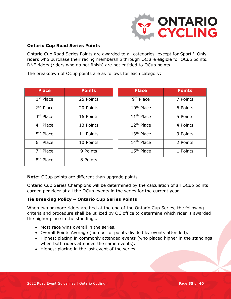

#### **Ontario Cup Road Series Points**

Ontario Cup Road Series Points are awarded to all categories, except for Sportif. Only riders who purchase their racing membership through OC are eligible for OCup points. DNF riders (riders who do not finish) are not entitled to OCup points.

The breakdown of OCup points are as follows for each category:

| <b>Place</b>          | <b>Points</b> | <b>Place</b>           | <b>Points</b> |
|-----------------------|---------------|------------------------|---------------|
| $1st$ Place           | 25 Points     | 9 <sup>th</sup> Place  | 7 Points      |
| $2nd$ Place           | 20 Points     | 10 <sup>th</sup> Place | 6 Points      |
| 3rd Place             | 16 Points     | 11 <sup>th</sup> Place | 5 Points      |
| 4 <sup>th</sup> Place | 13 Points     | 12 <sup>th</sup> Place | 4 Points      |
| 5 <sup>th</sup> Place | 11 Points     | 13 <sup>th</sup> Place | 3 Points      |
| 6 <sup>th</sup> Place | 10 Points     | 14 <sup>th</sup> Place | 2 Points      |
| 7 <sup>th</sup> Place | 9 Points      | 15 <sup>th</sup> Place | 1 Points      |
| 8 <sup>th</sup> Place | 8 Points      |                        |               |

| <b>Place</b>             | <b>Points</b> | <b>Place</b>           | <b>Points</b> |
|--------------------------|---------------|------------------------|---------------|
| <sup>st</sup> Place      | 25 Points     | 9 <sup>th</sup> Place  | 7 Points      |
| $\overline{^{nd}}$ Place | 20 Points     | 10 <sup>th</sup> Place | 6 Points      |
| $\overline{r}$ d Place   | 16 Points     | 11 <sup>th</sup> Place | 5 Points      |
| <sup>th</sup> Place      | 13 Points     | 12 <sup>th</sup> Place | 4 Points      |
| <sup>th</sup> Place      | 11 Points     | 13 <sup>th</sup> Place | 3 Points      |
| <sup>th</sup> Place      | 10 Points     | 14 <sup>th</sup> Place | 2 Points      |
| <sup>th</sup> Place      | 9 Points      | 15 <sup>th</sup> Place | 1 Points      |

**Note:** OCup points are different than upgrade points.

Ontario Cup Series Champions will be determined by the calculation of all OCup points earned per rider at all the OCup events in the series for the current year.

#### **Tie Breaking Policy – Ontario Cup Series Points**

When two or more riders are tied at the end of the Ontario Cup Series, the following criteria and procedure shall be utilized by OC office to determine which rider is awarded the higher place in the standings.

- Most race wins overall in the series.
- Overall Points Average (number of points divided by events attended).
- Highest placing in commonly attended events (who placed higher in the standings when both riders attended the same events).
- Highest placing in the last event of the series.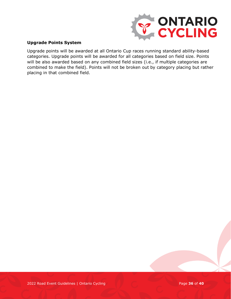

#### **Upgrade Points System**

Upgrade points will be awarded at all Ontario Cup races running standard ability-based categories. Upgrade points will be awarded for all categories based on field size. Points will be also awarded based on any combined field sizes (i.e., if multiple categories are combined to make the field). Points will not be broken out by category placing but rather placing in that combined field.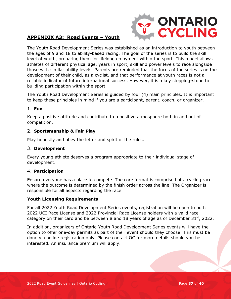

#### <span id="page-36-0"></span>**APPENDIX A3: Road Events – Youth**

The Youth Road Development Series was established as an introduction to youth between the ages of 9 and 18 to ability-based racing. The goal of the series is to build the skill level of youth, preparing them for lifelong enjoyment within the sport. This model allows athletes of different physical age, years in sport, skill and power levels to race alongside those with similar ability levels. Parents are reminded that the focus of the series is on the development of their child, as a cyclist, and that performance at youth races is not a reliable indicator of future international success. However, it is a key stepping-stone to building participation within the sport.

The Youth Road Development Series is guided by four (4) main principles. It is important to keep these principles in mind if you are a participant, parent, coach, or organizer.

#### 1. **Fun**

Keep a positive attitude and contribute to a positive atmosphere both in and out of competition.

#### 2. **Sportsmanship & Fair Play**

Play honestly and obey the letter and spirit of the rules.

#### 3. **Development**

Every young athlete deserves a program appropriate to their individual stage of development.

#### 4. **Participation**

Ensure everyone has a place to compete. The core format is comprised of a cycling race where the outcome is determined by the finish order across the line. The Organizer is responsible for all aspects regarding the race.

#### **Youth Licensing Requirements**

For all 2022 Youth Road Development Series events, registration will be open to both 2022 UCI Race License and 2022 Provincial Race License holders with a valid race category on their card and be between 8 and 18 years of age as of December  $31^{st}$ , 2022.

In addition, organizers of Ontario Youth Road Development Series events will have the option to offer one-day permits as part of their event should they choose. This must be done via online registration only. Please contact OC for more details should you be interested. An insurance premium will apply.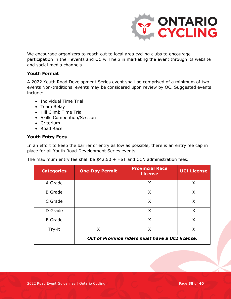

We encourage organizers to reach out to local area cycling clubs to encourage participation in their events and OC will help in marketing the event through its website and social media channels.

#### **Youth Format**

A 2022 Youth Road Development Series event shall be comprised of a minimum of two events Non-traditional events may be considered upon review by OC. Suggested events include:

- Individual Time Trial
- Team Relay
- Hill Climb Time Trial
- Skills Competition/Session
- Criterium
- Road Race

#### **Youth Entry Fees**

In an effort to keep the barrier of entry as low as possible, there is an entry fee cap in place for all Youth Road Development Series events.

The maximum entry fee shall be \$42.50 + HST and CCN administration fees.

| <b>Categories</b> | <b>One-Day Permit</b> | <b>Provincial Race</b><br><b>License</b>        | <b>UCI License</b> |
|-------------------|-----------------------|-------------------------------------------------|--------------------|
| A Grade           |                       | X                                               | X                  |
| <b>B</b> Grade    |                       | X                                               | X                  |
| C Grade           |                       | X                                               | X                  |
| D Grade           |                       | X                                               | X                  |
| E Grade           |                       | X                                               | X                  |
| Try-it            | X                     | X                                               | X                  |
|                   |                       | Out of Province riders must have a UCI license. |                    |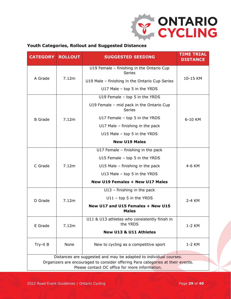

#### **Youth Categories, Rollout and Suggested Distances**

| <b>CATEGORY</b>                                                                                                                   | <b>ROLLOUT</b> | <b>SUGGESTED SEEDING</b>                                   | <b>TIME TRIAL</b><br><b>DISTANCE</b> |  |
|-----------------------------------------------------------------------------------------------------------------------------------|----------------|------------------------------------------------------------|--------------------------------------|--|
| A Grade                                                                                                                           |                | U19 Female - finishing in the Ontario Cup<br><b>Series</b> |                                      |  |
|                                                                                                                                   | 7.12m          | U19 Male - finishing in the Ontario Cup Series             | 10-15 KM                             |  |
|                                                                                                                                   |                | U17 Male - top 5 in the YRDS                               |                                      |  |
|                                                                                                                                   |                | U19 Female - top 5 in the YRDS                             |                                      |  |
|                                                                                                                                   |                | U19 Female - mid pack in the Ontario Cup<br><b>Series</b>  |                                      |  |
| <b>B</b> Grade                                                                                                                    | 7.12m          | U17 Female $-$ top 5 in the YRDS                           | 6-10 KM                              |  |
|                                                                                                                                   |                | U17 Male $-$ finishing in the pack                         |                                      |  |
|                                                                                                                                   |                | U15 Male - top 5 in the YRDS                               |                                      |  |
|                                                                                                                                   |                | <b>New U19 Males</b>                                       |                                      |  |
|                                                                                                                                   | 7.12m          | U17 Female - finishing in the pack                         |                                      |  |
|                                                                                                                                   |                | U15 Female - top 5 in the YRDS                             |                                      |  |
| C Grade                                                                                                                           |                | U15 Male $-$ finishing in the pack                         | 4-6 KM                               |  |
|                                                                                                                                   |                | U13 Male - top 5 in the YRDS                               |                                      |  |
|                                                                                                                                   |                | <b>New U19 Females + New U17 Males</b>                     |                                      |  |
|                                                                                                                                   |                | $U13$ – finishing in the pack                              |                                      |  |
| D Grade                                                                                                                           | 7.12m          | $U11 - top 5$ in the YRDS                                  | 2-4 KM                               |  |
|                                                                                                                                   |                | New U17 and U15 Females + New U15<br><b>Males</b>          |                                      |  |
| E Grade                                                                                                                           | 7.12m          | U11 & U13 athletes who consistently finish in<br>the YRDS  | 1-2 KM                               |  |
|                                                                                                                                   |                | New U13 & U11 Athletes                                     |                                      |  |
| Try-it B                                                                                                                          | None           | New to cycling as a competitive sport                      | 1-2 KM                               |  |
| Distances are suggested and may be adapted to individual courses.                                                                 |                |                                                            |                                      |  |
| Organizers are encouraged to consider offering Para categories at their events.<br>Please contact OC office for more information. |                |                                                            |                                      |  |